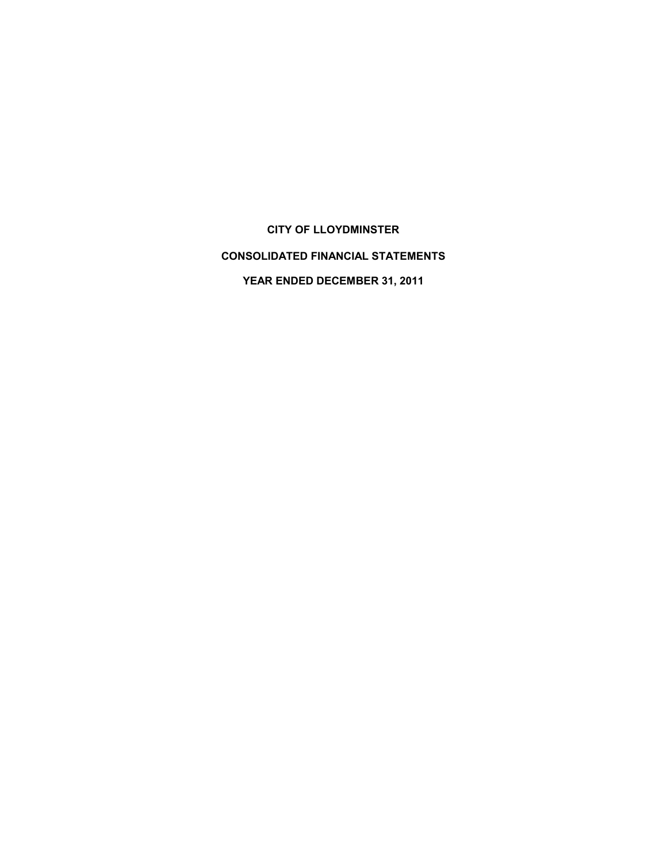**CITY OF LLOYDMINSTER CONSOLIDATED FINANCIAL STATEMENTS YEAR ENDED DECEMBER 31, 2011**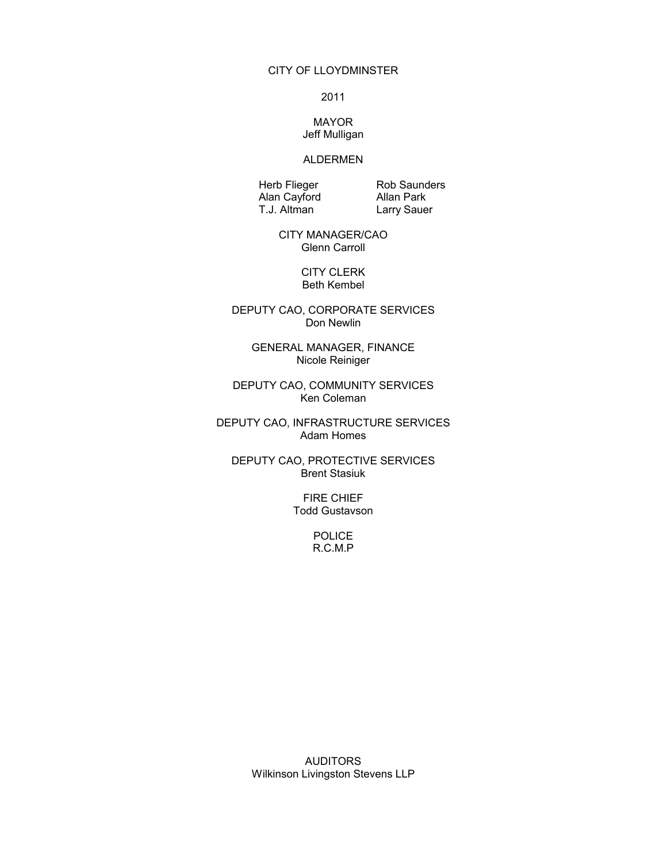2011

# MAYOR Jeff Mulligan

### ALDERMEN

Alan Cayford<br>T.J. Altman

Herb Flieger Rob Saunders<br>Alan Cayford Allan Park Larry Sauer

> CITY MANAGER/CAO Glenn Carroll

> > CITY CLERK Beth Kembel

DEPUTY CAO, CORPORATE SERVICES Don Newlin

GENERAL MANAGER, FINANCE Nicole Reiniger

DEPUTY CAO, COMMUNITY SERVICES Ken Coleman

DEPUTY CAO, INFRASTRUCTURE SERVICES Adam Homes

DEPUTY CAO, PROTECTIVE SERVICES Brent Stasiuk

> FIRE CHIEF Todd Gustavson

> > **POLICE** R.C.M.P

AUDITORS Wilkinson Livingston Stevens LLP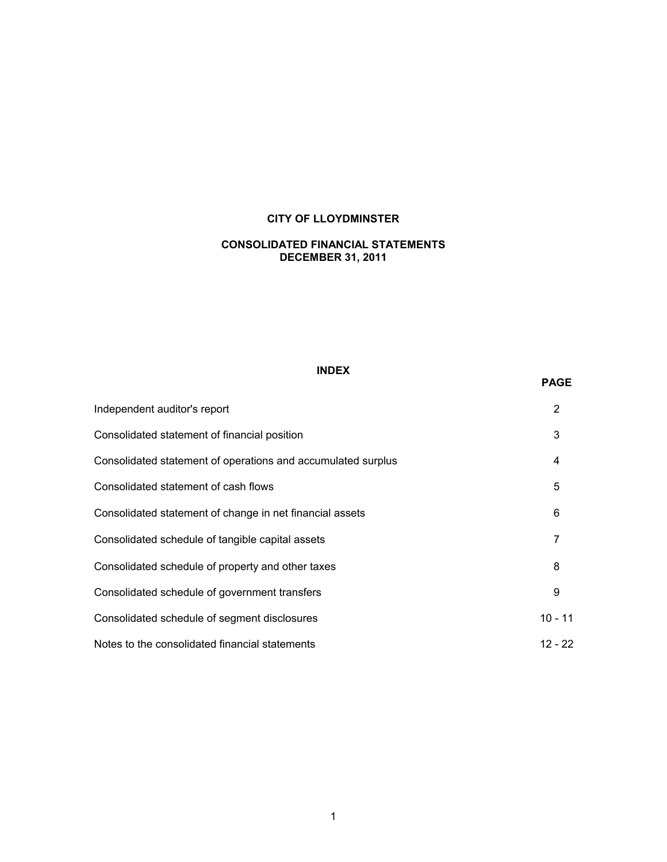# **CONSOLIDATED FINANCIAL STATEMENTS DECEMBER 31, 2011**

# **INDEX**

#### **PAGE**

| Independent auditor's report                                 | 2         |
|--------------------------------------------------------------|-----------|
| Consolidated statement of financial position                 | 3         |
| Consolidated statement of operations and accumulated surplus | 4         |
| Consolidated statement of cash flows                         | 5         |
| Consolidated statement of change in net financial assets     | 6         |
| Consolidated schedule of tangible capital assets             | 7         |
| Consolidated schedule of property and other taxes            | 8         |
| Consolidated schedule of government transfers                | 9         |
| Consolidated schedule of segment disclosures                 | $10 - 11$ |
| Notes to the consolidated financial statements               | $12 - 22$ |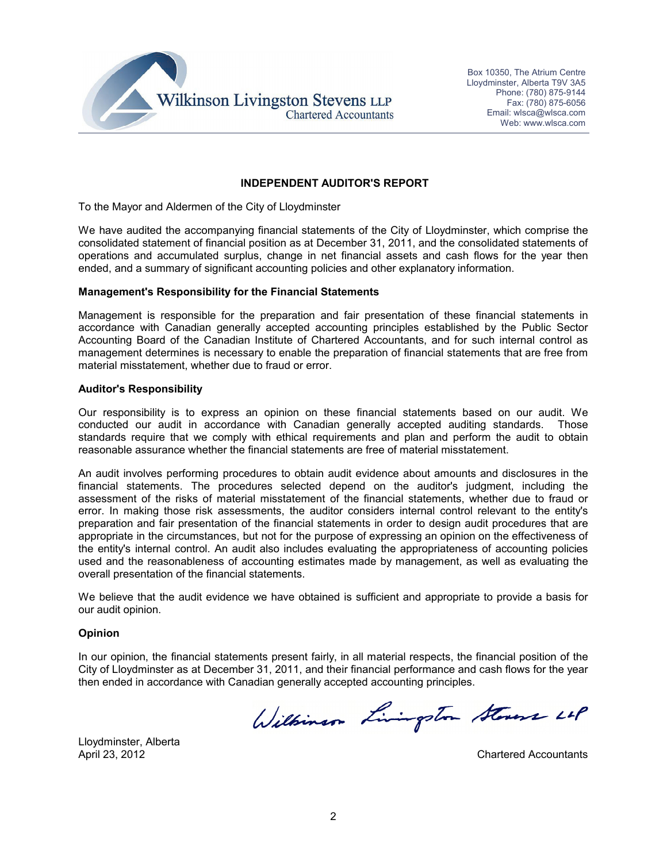

# **INDEPENDENT AUDITOR'S REPORT**

To the Mayor and Aldermen of the City of Lloydminster

We have audited the accompanying financial statements of the City of Lloydminster, which comprise the consolidated statement of financial position as at December 31, 2011, and the consolidated statements of operations and accumulated surplus, change in net financial assets and cash flows for the year then ended, and a summary of significant accounting policies and other explanatory information.

#### **Management's Responsibility for the Financial Statements**

Management is responsible for the preparation and fair presentation of these financial statements in accordance with Canadian generally accepted accounting principles established by the Public Sector Accounting Board of the Canadian Institute of Chartered Accountants, and for such internal control as management determines is necessary to enable the preparation of financial statements that are free from material misstatement, whether due to fraud or error.

#### **Auditor's Responsibility**

Our responsibility is to express an opinion on these financial statements based on our audit. We conducted our audit in accordance with Canadian generally accepted auditing standards. Those standards require that we comply with ethical requirements and plan and perform the audit to obtain reasonable assurance whether the financial statements are free of material misstatement.

An audit involves performing procedures to obtain audit evidence about amounts and disclosures in the financial statements. The procedures selected depend on the auditor's judgment, including the assessment of the risks of material misstatement of the financial statements, whether due to fraud or error. In making those risk assessments, the auditor considers internal control relevant to the entity's preparation and fair presentation of the financial statements in order to design audit procedures that are appropriate in the circumstances, but not for the purpose of expressing an opinion on the effectiveness of the entity's internal control. An audit also includes evaluating the appropriateness of accounting policies used and the reasonableness of accounting estimates made by management, as well as evaluating the overall presentation of the financial statements.

We believe that the audit evidence we have obtained is sufficient and appropriate to provide a basis for our audit opinion.

# **Opinion**

In our opinion, the financial statements present fairly, in all material respects, the financial position of the City of Lloydminster as at December 31, 2011, and their financial performance and cash flows for the year then ended in accordance with Canadian generally accepted accounting principles.

Wilkinson Livingston Stevens LLP

Lloydminster, Alberta

**Chartered Accountants**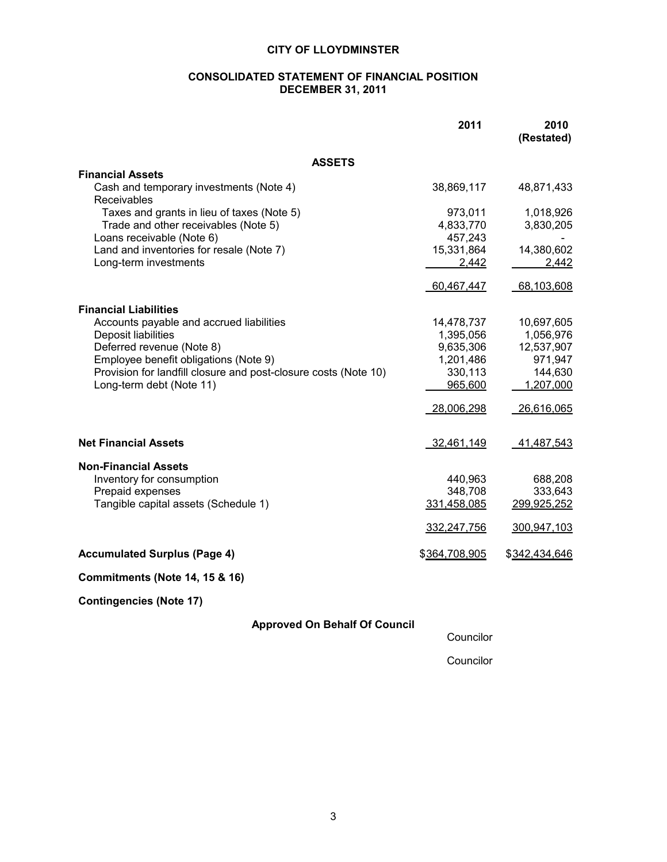# **CONSOLIDATED STATEMENT OF FINANCIAL POSITION DECEMBER 31, 2011**

|                                                                 | 2011          | 2010<br>(Restated) |
|-----------------------------------------------------------------|---------------|--------------------|
| <b>ASSETS</b>                                                   |               |                    |
| <b>Financial Assets</b>                                         |               |                    |
| Cash and temporary investments (Note 4)<br>Receivables          | 38,869,117    | 48,871,433         |
| Taxes and grants in lieu of taxes (Note 5)                      | 973,011       | 1,018,926          |
| Trade and other receivables (Note 5)                            | 4,833,770     | 3,830,205          |
| Loans receivable (Note 6)                                       | 457,243       |                    |
| Land and inventories for resale (Note 7)                        | 15,331,864    | 14,380,602         |
| Long-term investments                                           | 2.442         | 2,442              |
|                                                                 | 60,467,447    | 68,103,608         |
| <b>Financial Liabilities</b>                                    |               |                    |
| Accounts payable and accrued liabilities                        | 14,478,737    | 10,697,605         |
| Deposit liabilities                                             | 1,395,056     | 1,056,976          |
| Deferred revenue (Note 8)                                       | 9,635,306     | 12,537,907         |
| Employee benefit obligations (Note 9)                           | 1,201,486     | 971,947            |
| Provision for landfill closure and post-closure costs (Note 10) | 330,113       | 144,630            |
| Long-term debt (Note 11)                                        | 965,600       | 1,207,000          |
|                                                                 | 28,006,298    | 26,616,065         |
| <b>Net Financial Assets</b>                                     | 32,461,149    | 41,487,543         |
| <b>Non-Financial Assets</b>                                     |               |                    |
| Inventory for consumption                                       | 440,963       | 688,208            |
| Prepaid expenses                                                | 348,708       | 333,643            |
| Tangible capital assets (Schedule 1)                            | 331,458,085   | 299,925,252        |
|                                                                 | 332,247,756   | 300,947,103        |
| <b>Accumulated Surplus (Page 4)</b>                             | \$364,708,905 | \$342,434,646      |
| $\sim$ $\sim$ $\sim$                                            |               |                    |

**Commitments (Note 14, 15 & 16)**

**Contingencies (Note 17)**

**Approved On Behalf Of Council**

Councilor

Councilor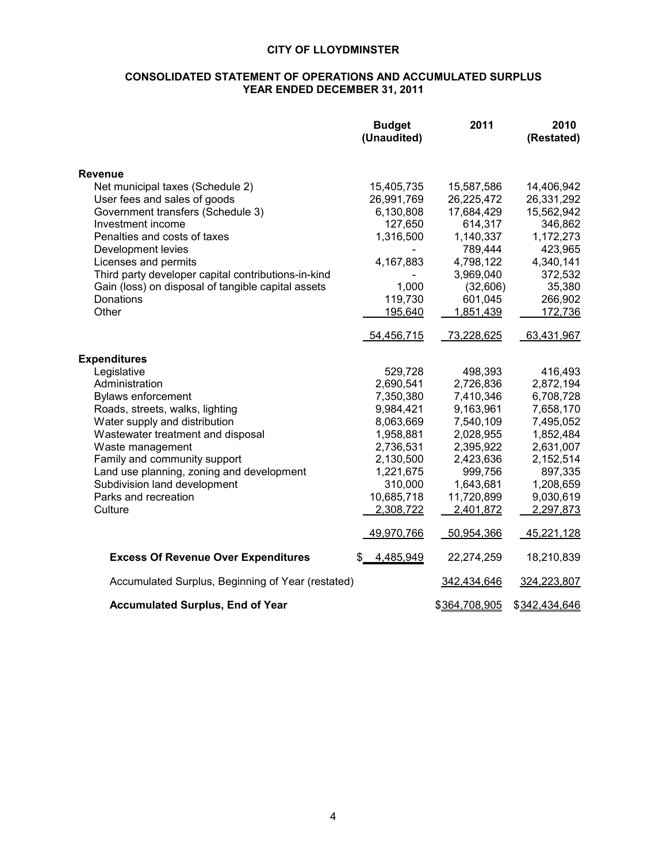# **CONSOLIDATED STATEMENT OF OPERATIONS AND ACCUMULATED SURPLUS YEAR ENDED DECEMBER 31, 2011**

|                                                     | <b>Budget</b><br>(Unaudited) | 2011          | 2010<br>(Restated) |
|-----------------------------------------------------|------------------------------|---------------|--------------------|
| <b>Revenue</b>                                      |                              |               |                    |
| Net municipal taxes (Schedule 2)                    | 15,405,735                   | 15,587,586    | 14,406,942         |
| User fees and sales of goods                        | 26,991,769                   | 26,225,472    | 26,331,292         |
| Government transfers (Schedule 3)                   | 6,130,808                    | 17,684,429    | 15,562,942         |
| Investment income                                   | 127,650                      | 614,317       | 346,862            |
| Penalties and costs of taxes                        | 1,316,500                    | 1,140,337     | 1,172,273          |
| Development levies                                  |                              | 789,444       | 423,965            |
| Licenses and permits                                | 4,167,883                    | 4,798,122     | 4,340,141          |
| Third party developer capital contributions-in-kind |                              | 3,969,040     | 372,532            |
| Gain (loss) on disposal of tangible capital assets  | 1,000                        | (32,606)      | 35,380             |
| Donations                                           | 119,730                      | 601,045       | 266,902            |
| Other                                               | 195,640                      | 1,851,439     | 172,736            |
|                                                     | 54,456,715                   | 73,228,625    | 63,431,967         |
| <b>Expenditures</b>                                 |                              |               |                    |
| Legislative                                         | 529,728                      | 498,393       | 416,493            |
| Administration                                      | 2,690,541                    | 2,726,836     | 2,872,194          |
| <b>Bylaws enforcement</b>                           | 7,350,380                    | 7,410,346     | 6,708,728          |
| Roads, streets, walks, lighting                     | 9,984,421                    | 9,163,961     | 7,658,170          |
| Water supply and distribution                       | 8,063,669                    | 7,540,109     | 7,495,052          |
| Wastewater treatment and disposal                   | 1,958,881                    | 2,028,955     | 1,852,484          |
| Waste management                                    | 2,736,531                    | 2,395,922     | 2,631,007          |
| Family and community support                        | 2,130,500                    | 2,423,636     | 2,152,514          |
| Land use planning, zoning and development           | 1,221,675                    | 999,756       | 897,335            |
| Subdivision land development                        | 310,000                      | 1,643,681     | 1,208,659          |
| Parks and recreation                                | 10,685,718                   | 11,720,899    | 9,030,619          |
| Culture                                             | 2,308,722                    | 2,401,872     | 2,297,873          |
|                                                     | 49,970,766                   | 50,954,366    | 45,221,128         |
| <b>Excess Of Revenue Over Expenditures</b>          | 4,485,949                    | 22,274,259    | 18,210,839         |
| Accumulated Surplus, Beginning of Year (restated)   |                              | 342,434,646   | 324,223,807        |
| <b>Accumulated Surplus, End of Year</b>             |                              | \$364,708,905 | \$342,434,646      |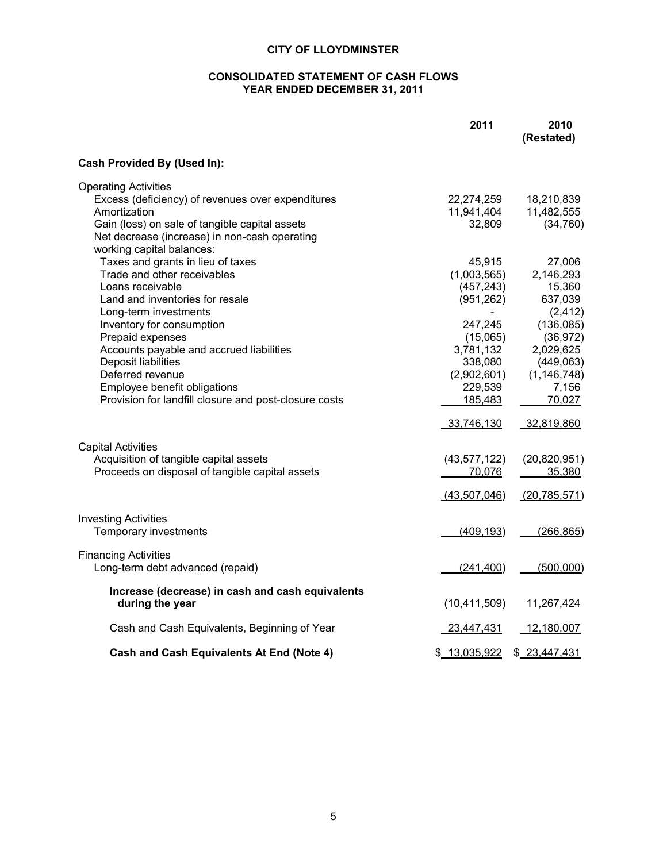# **CONSOLIDATED STATEMENT OF CASH FLOWS YEAR ENDED DECEMBER 31, 2011**

|                                                       | 2011           | 2010<br>(Restated) |
|-------------------------------------------------------|----------------|--------------------|
| <b>Cash Provided By (Used In):</b>                    |                |                    |
| <b>Operating Activities</b>                           |                |                    |
| Excess (deficiency) of revenues over expenditures     | 22,274,259     | 18,210,839         |
| Amortization                                          | 11,941,404     | 11,482,555         |
| Gain (loss) on sale of tangible capital assets        | 32,809         | (34, 760)          |
| Net decrease (increase) in non-cash operating         |                |                    |
| working capital balances:                             |                |                    |
| Taxes and grants in lieu of taxes                     | 45,915         | 27,006             |
| Trade and other receivables                           | (1,003,565)    | 2,146,293          |
| Loans receivable                                      | (457, 243)     | 15,360             |
| Land and inventories for resale                       | (951, 262)     | 637,039            |
| Long-term investments                                 |                | (2, 412)           |
| Inventory for consumption                             | 247,245        | (136,085)          |
| Prepaid expenses                                      | (15,065)       | (36, 972)          |
| Accounts payable and accrued liabilities              | 3,781,132      | 2,029,625          |
| Deposit liabilities                                   | 338,080        | (449,063)          |
| Deferred revenue                                      | (2,902,601)    | (1, 146, 748)      |
| Employee benefit obligations                          | 229,539        | 7,156              |
| Provision for landfill closure and post-closure costs | 185,483        | 70,027             |
|                                                       | 33,746,130     | 32,819,860         |
| <b>Capital Activities</b>                             |                |                    |
| Acquisition of tangible capital assets                | (43, 577, 122) | (20, 820, 951)     |
| Proceeds on disposal of tangible capital assets       | 70,076         | 35,380             |
|                                                       | (43,507,046)   | (20, 785, 571)     |
| <b>Investing Activities</b>                           |                |                    |
| Temporary investments                                 | (409, 193)     | (266, 865)         |
| <b>Financing Activities</b>                           |                |                    |
| Long-term debt advanced (repaid)                      | (241, 400)     | (500,000)          |
| Increase (decrease) in cash and cash equivalents      |                |                    |
| during the year                                       | (10, 411, 509) | 11,267,424         |
| Cash and Cash Equivalents, Beginning of Year          | 23,447,431     | 12,180,007         |
| <b>Cash and Cash Equivalents At End (Note 4)</b>      | \$13,035,922   | \$23,447,431       |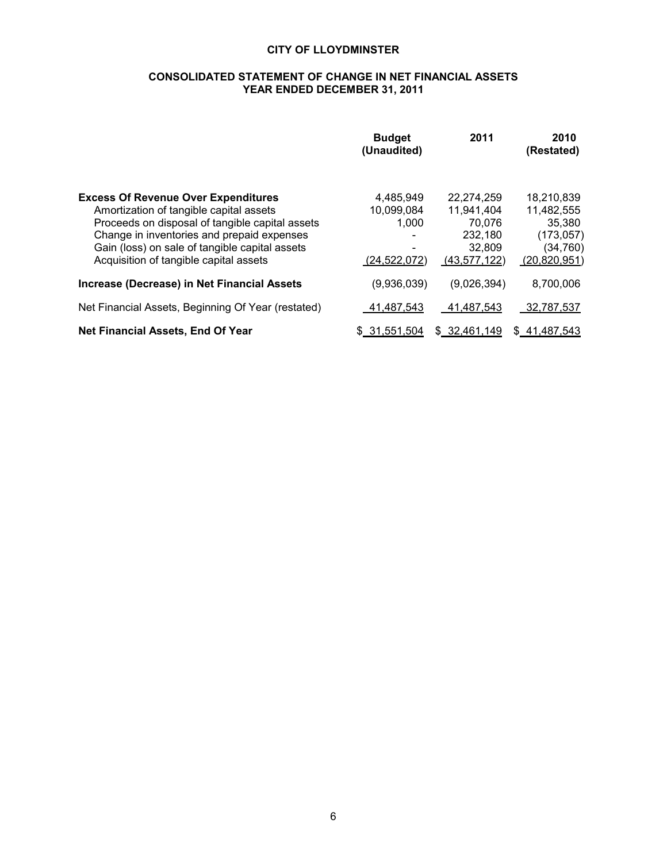# **CONSOLIDATED STATEMENT OF CHANGE IN NET FINANCIAL ASSETS YEAR ENDED DECEMBER 31, 2011**

|                                                    | <b>Budget</b><br>(Unaudited) | 2011           | 2010<br>(Restated) |
|----------------------------------------------------|------------------------------|----------------|--------------------|
| <b>Excess Of Revenue Over Expenditures</b>         | 4,485,949                    | 22,274,259     | 18,210,839         |
| Amortization of tangible capital assets            | 10,099,084                   | 11,941,404     | 11,482,555         |
| Proceeds on disposal of tangible capital assets    | 1,000                        | 70.076         | 35,380             |
| Change in inventories and prepaid expenses         |                              | 232,180        | (173, 057)         |
| Gain (loss) on sale of tangible capital assets     |                              | 32.809         | (34, 760)          |
| Acquisition of tangible capital assets             | (24, 522, 072)               | (43, 577, 122) | (20, 820, 951)     |
| Increase (Decrease) in Net Financial Assets        | (9,936,039)                  | (9,026,394)    | 8,700,006          |
| Net Financial Assets, Beginning Of Year (restated) | 41,487,543                   | 41.487.543     | 32,787,537         |
| Net Financial Assets, End Of Year                  | \$31,551,504                 | \$32,461,149   | \$41,487,543       |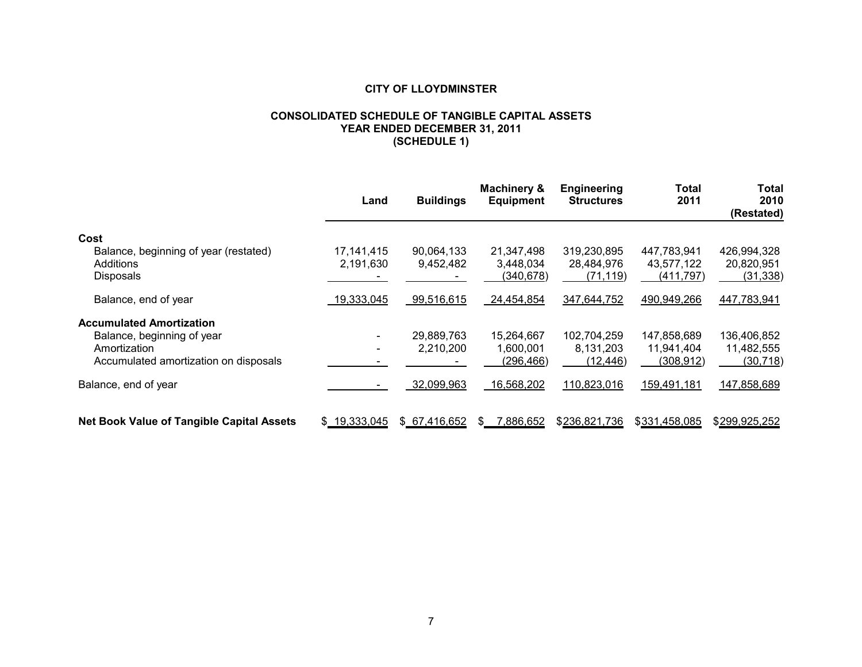# **CONSOLIDATED SCHEDULE OF TANGIBLE CAPITAL ASSETS YEAR ENDED DECEMBER 31, 2011 (SCHEDULE 1)**

|                                                                        | Land                      | <b>Buildings</b>        | <b>Machinery &amp;</b><br><b>Equipment</b> | <b>Engineering</b><br><b>Structures</b> | Total<br>2011                           | Total<br>2010<br>(Restated)            |
|------------------------------------------------------------------------|---------------------------|-------------------------|--------------------------------------------|-----------------------------------------|-----------------------------------------|----------------------------------------|
| Cost                                                                   |                           |                         |                                            |                                         |                                         |                                        |
| Balance, beginning of year (restated)<br>Additions<br><b>Disposals</b> | 17, 141, 415<br>2,191,630 | 90,064,133<br>9,452,482 | 21,347,498<br>3,448,034<br>(340, 678)      | 319,230,895<br>28,484,976<br>(71, 119)  | 447,783,941<br>43,577,122<br>(411, 797) | 426,994,328<br>20,820,951<br>(31, 338) |
| Balance, end of year                                                   | 19,333,045                | 99,516,615              | 24,454,854                                 | 347,644,752                             | 490,949,266                             | 447,783,941                            |
| <b>Accumulated Amortization</b><br>Balance, beginning of year          |                           | 29,889,763              | 15,264,667                                 | 102,704,259                             | 147,858,689                             | 136,406,852                            |
| Amortization<br>Accumulated amortization on disposals                  |                           | 2,210,200               | 1,600,001<br>(296, 466)                    | 8,131,203<br>(12, 446)                  | 11,941,404<br>(308, 912)                | 11,482,555<br>(30, 718)                |
| Balance, end of year                                                   |                           | 32,099,963              | 16,568,202                                 | 110,823,016                             | 159,491,181                             | 147,858,689                            |
| <b>Net Book Value of Tangible Capital Assets</b>                       | \$19,333,045              | \$67,416,652            | 7,886,652<br>\$.                           | \$236,821,736                           | \$331,458,085                           | \$299,925,252                          |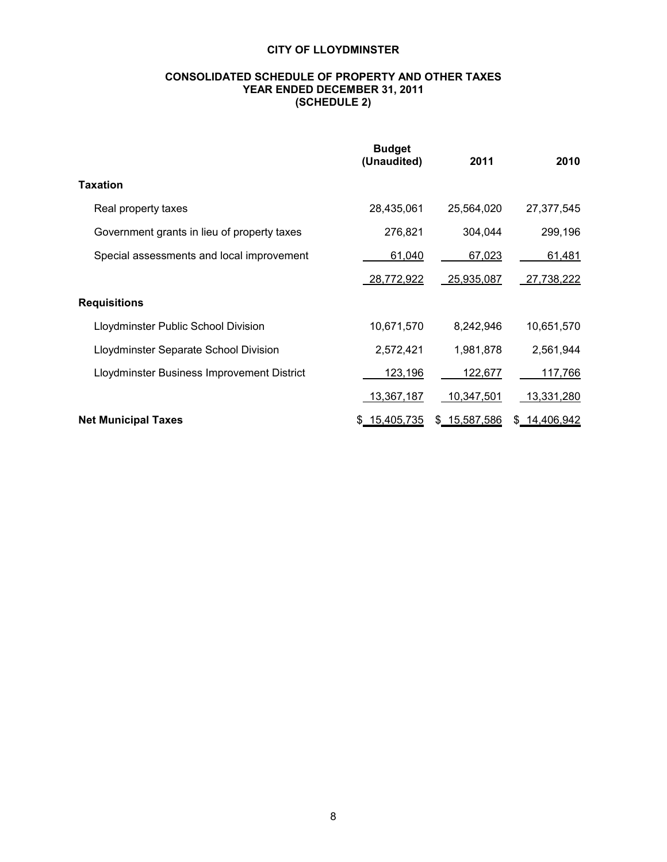# **CONSOLIDATED SCHEDULE OF PROPERTY AND OTHER TAXES YEAR ENDED DECEMBER 31, 2011 (SCHEDULE 2)**

|                                             | <b>Budget</b><br>(Unaudited) | 2011          | 2010                     |
|---------------------------------------------|------------------------------|---------------|--------------------------|
| Taxation                                    |                              |               |                          |
| Real property taxes                         | 28,435,061                   | 25,564,020    | 27,377,545               |
| Government grants in lieu of property taxes | 276,821                      | 304,044       | 299,196                  |
| Special assessments and local improvement   | 61,040                       | 67,023        | 61,481                   |
|                                             | 28,772,922                   | 25,935,087    | 27,738,222               |
| <b>Requisitions</b>                         |                              |               |                          |
| Lloydminster Public School Division         | 10,671,570                   | 8,242,946     | 10,651,570               |
| Lloydminster Separate School Division       | 2,572,421                    | 1,981,878     | 2,561,944                |
| Lloydminster Business Improvement District  | 123,196                      | 122,677       | 117,766                  |
|                                             | 13,367,187                   | 10,347,501    | 13,331,280               |
| <b>Net Municipal Taxes</b>                  | <u>15,405,735</u><br>\$      | \$ 15,587,586 | <u>14,406,942</u><br>\$. |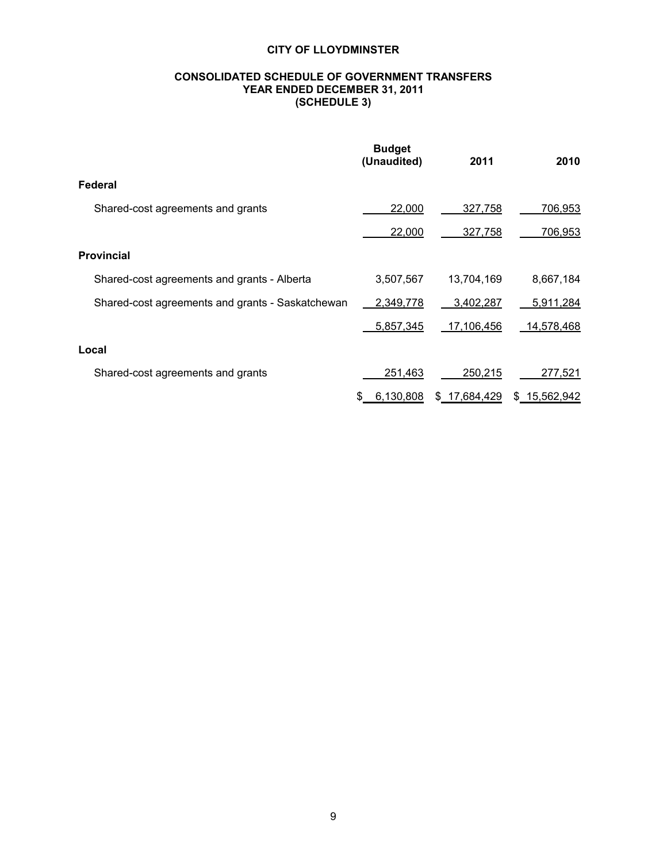# **CONSOLIDATED SCHEDULE OF GOVERNMENT TRANSFERS YEAR ENDED DECEMBER 31, 2011 (SCHEDULE 3)**

|                                                  | <b>Budget</b><br>(Unaudited) | 2011          | 2010             |
|--------------------------------------------------|------------------------------|---------------|------------------|
| Federal                                          |                              |               |                  |
| Shared-cost agreements and grants                | 22,000                       | 327,758       | 706,953          |
|                                                  | 22,000                       | 327,758       | 706,953          |
| <b>Provincial</b>                                |                              |               |                  |
| Shared-cost agreements and grants - Alberta      | 3,507,567                    | 13,704,169    | 8,667,184        |
| Shared-cost agreements and grants - Saskatchewan | 2,349,778                    | 3,402,287     | <u>5,911,284</u> |
|                                                  | 5,857,345                    | 17,106,456    | 14,578,468       |
| Local                                            |                              |               |                  |
| Shared-cost agreements and grants                | 251,463                      | 250,215       | 277,521          |
|                                                  | 6,130,808<br>S               | \$ 17,684,429 | \$ 15,562,942    |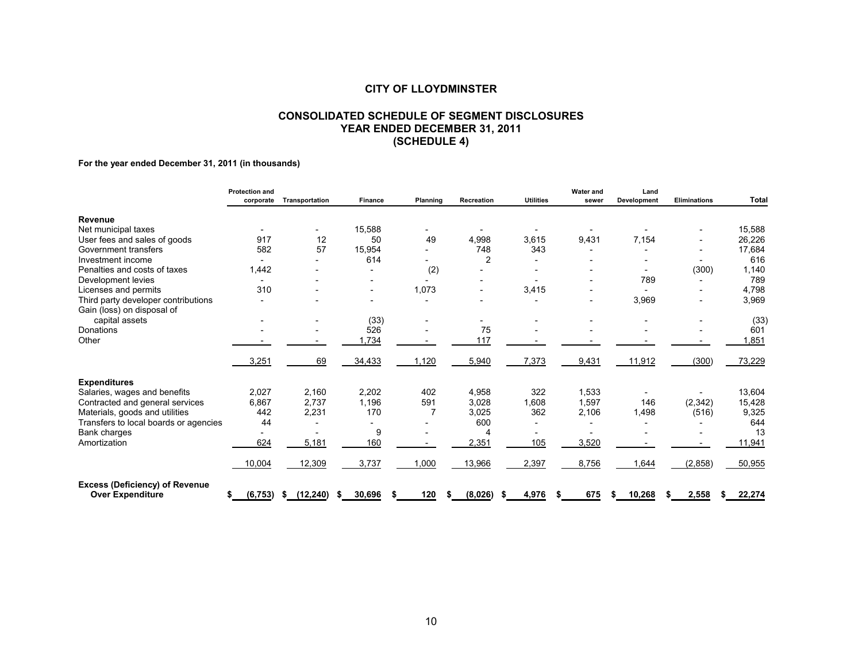# **CONSOLIDATED SCHEDULE OF SEGMENT DISCLOSURES YEAR ENDED DECEMBER 31, 2011 (SCHEDULE 4)**

#### **For the year ended December 31, 2011 (in thousands)**

|                                                                  | <b>Protection and</b><br>corporate | Transportation  | Finance     | Planning | Recreation | <b>Utilities</b> | <b>Water and</b><br>sewer | Land<br>Development | <b>Eliminations</b> | <b>Total</b> |
|------------------------------------------------------------------|------------------------------------|-----------------|-------------|----------|------------|------------------|---------------------------|---------------------|---------------------|--------------|
|                                                                  |                                    |                 |             |          |            |                  |                           |                     |                     |              |
| Revenue                                                          |                                    |                 |             |          |            |                  |                           |                     |                     |              |
| Net municipal taxes                                              |                                    |                 | 15,588      |          |            |                  |                           |                     |                     | 15,588       |
| User fees and sales of goods                                     | 917                                | 12              | 50          | 49       | 4,998      | 3,615            | 9,431                     | 7,154               |                     | 26,226       |
| Government transfers                                             | 582                                | 57              | 15,954      |          | 748        | 343              |                           |                     |                     | 17,684       |
| Investment income                                                |                                    |                 | 614         |          | 2          |                  |                           |                     |                     | 616          |
| Penalties and costs of taxes                                     | 1,442                              |                 |             | (2)      |            |                  |                           |                     | (300)               | 1,140        |
| Development levies                                               |                                    |                 |             |          |            |                  |                           | 789                 |                     | 789          |
| Licenses and permits                                             | 310                                |                 |             | 1,073    |            | 3,415            |                           |                     |                     | 4,798        |
| Third party developer contributions                              |                                    |                 |             |          |            |                  |                           | 3,969               |                     | 3,969        |
| Gain (loss) on disposal of                                       |                                    |                 |             |          |            |                  |                           |                     |                     |              |
| capital assets                                                   |                                    |                 | (33)        |          |            |                  |                           |                     |                     | (33)         |
| Donations                                                        |                                    |                 | 526         |          | 75         |                  |                           |                     |                     | 601          |
| Other                                                            |                                    |                 | 1,734       |          | 117        |                  |                           |                     |                     | 1,851        |
|                                                                  | 3,251                              | 69              | 34,433      | 1,120    | 5,940      | 7,373            | 9,431                     | 11,912              | (300)               | 73,229       |
| <b>Expenditures</b>                                              |                                    |                 |             |          |            |                  |                           |                     |                     |              |
| Salaries, wages and benefits                                     | 2,027                              | 2,160           | 2,202       | 402      | 4,958      | 322              | 1,533                     |                     |                     | 13,604       |
| Contracted and general services                                  | 6,867                              | 2,737           | 1,196       | 591      | 3,028      | 1,608            | 1,597                     | 146                 | (2, 342)            | 15,428       |
| Materials, goods and utilities                                   | 442                                | 2,231           | 170         |          | 3,025      | 362              | 2,106                     | 1,498               | (516)               | 9,325        |
| Transfers to local boards or agencies                            | 44                                 |                 |             |          | 600        |                  |                           |                     |                     | 644          |
| Bank charges                                                     |                                    |                 | 9           |          | 4          |                  |                           |                     |                     | 13           |
| Amortization                                                     | 624                                | 5,181           | 160         |          | 2,351      | 105              | 3,520                     |                     |                     | 11,941       |
|                                                                  | 10,004                             | 12,309          | 3,737       | 1,000    | 13,966     | 2,397            | 8,756                     | ,644                | (2,858)             | 50,955       |
| <b>Excess (Deficiency) of Revenue</b><br><b>Over Expenditure</b> | (6, 753)<br>\$                     | (12, 240)<br>\$ | 30,696<br>S | 120      | (8,026)    | 4,976<br>S       | 675                       | 10,268<br>S         | 2,558               | 22,274<br>S  |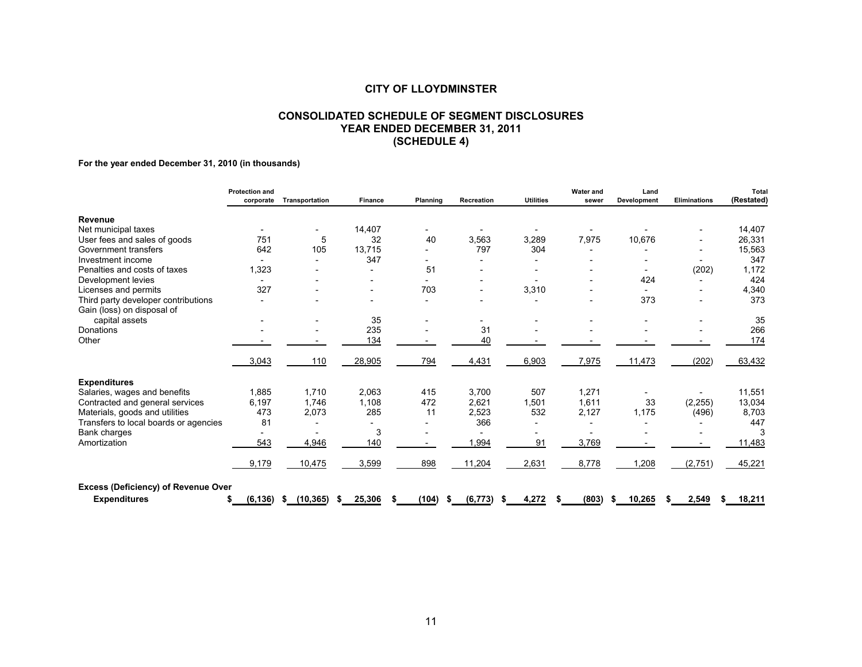# **CONSOLIDATED SCHEDULE OF SEGMENT DISCLOSURES YEAR ENDED DECEMBER 31, 2011 (SCHEDULE 4)**

#### **For the year ended December 31, 2010 (in thousands)**

|                                            | <b>Protection and</b><br>corporate | Transportation  | Finance     | Planning                 | Recreation | <b>Utilities</b> | <b>Water and</b><br>sewer | Land<br><b>Development</b> | <b>Eliminations</b>      | <b>Total</b><br>(Restated) |
|--------------------------------------------|------------------------------------|-----------------|-------------|--------------------------|------------|------------------|---------------------------|----------------------------|--------------------------|----------------------------|
|                                            |                                    |                 |             |                          |            |                  |                           |                            |                          |                            |
| Revenue                                    |                                    |                 |             |                          |            |                  |                           |                            |                          |                            |
| Net municipal taxes                        |                                    |                 | 14,407      |                          |            |                  |                           |                            |                          | 14,407                     |
| User fees and sales of goods               | 751                                | 5               | 32          | 40                       | 3,563      | 3,289            | 7,975                     | 10,676                     |                          | 26,331                     |
| Government transfers                       | 642                                | 105             | 13,715      | $\overline{\phantom{0}}$ | 797        | 304              |                           | $\overline{\phantom{0}}$   | $\overline{\phantom{a}}$ | 15,563                     |
| Investment income                          |                                    |                 | 347         |                          |            |                  |                           |                            |                          | 347                        |
| Penalties and costs of taxes               | 1,323                              |                 |             | 51                       |            |                  |                           |                            | (202)                    | 1,172                      |
| Development levies                         |                                    |                 |             |                          |            |                  |                           | 424                        |                          | 424                        |
| Licenses and permits                       | 327                                |                 |             | 703                      |            | 3,310            |                           |                            |                          | 4,340                      |
| Third party developer contributions        |                                    |                 |             |                          |            |                  |                           | 373                        |                          | 373                        |
| Gain (loss) on disposal of                 |                                    |                 |             |                          |            |                  |                           |                            |                          |                            |
| capital assets                             |                                    |                 | 35          |                          |            |                  |                           |                            |                          | 35                         |
| Donations                                  |                                    |                 | 235         |                          | 31         |                  |                           |                            |                          | 266                        |
| Other                                      |                                    |                 | 134         |                          | 40         |                  |                           |                            |                          | 174                        |
|                                            | 3,043                              | 110             | 28,905      | 794                      | 4,431      | 6,903            | 7,975                     | 11,473                     | (202)                    | 63,432                     |
| <b>Expenditures</b>                        |                                    |                 |             |                          |            |                  |                           |                            |                          |                            |
| Salaries, wages and benefits               | 1.885                              | 1,710           | 2,063       | 415                      | 3,700      | 507              | 1,271                     |                            |                          | 11,551                     |
| Contracted and general services            | 6,197                              | 1,746           | 1,108       | 472                      | 2,621      | 1,501            | 1,611                     | 33                         | (2, 255)                 | 13,034                     |
| Materials, goods and utilities             | 473                                | 2,073           | 285         | 11                       | 2,523      | 532              | 2,127                     | 1,175                      | (496)                    | 8,703                      |
| Transfers to local boards or agencies      | 81                                 |                 |             |                          | 366        |                  |                           |                            |                          | 447                        |
| Bank charges                               |                                    |                 | 3           |                          |            |                  | $\overline{\phantom{0}}$  |                            |                          | 3                          |
| Amortization                               | 543                                | 4,946           | 140         |                          | 1,994      | 91               | 3,769                     |                            |                          | 11,483                     |
|                                            | 9,179                              | 10,475          | 3,599       | 898                      | 11,204     | 2,631            | 8,778                     | ,208                       | (2,751)                  | 45,221                     |
| <b>Excess (Deficiency) of Revenue Over</b> |                                    |                 |             |                          |            |                  |                           |                            |                          |                            |
| <b>Expenditures</b>                        | (6, 136)<br>\$                     | (10, 365)<br>\$ | 25,306<br>S | (104)<br>S<br>S          | (6, 773)   | 4,272<br>S<br>S  | (803)                     | 10,265<br>S                | 2,549                    | 18,211<br>S                |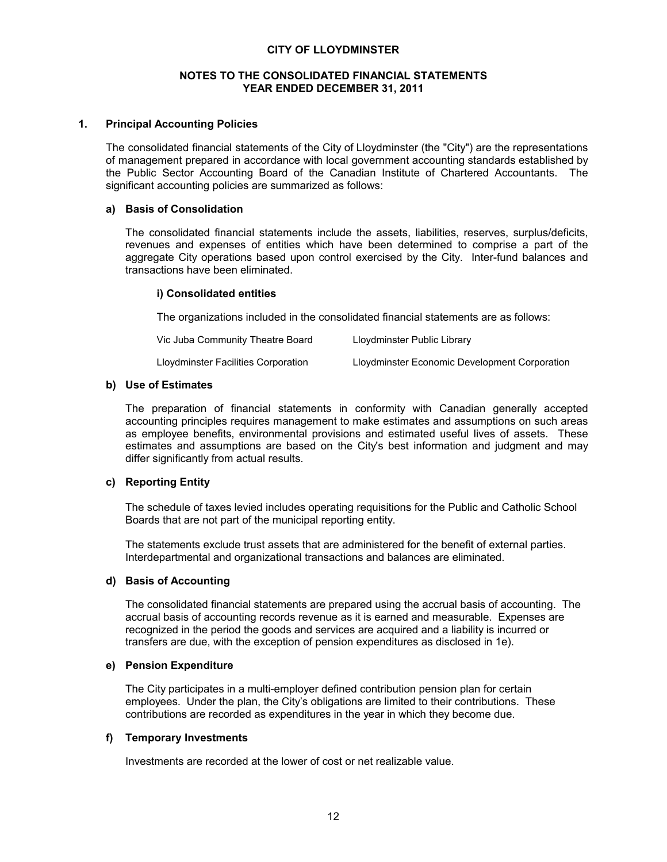# **NOTES TO THE CONSOLIDATED FINANCIAL STATEMENTS YEAR ENDED DECEMBER 31, 2011**

### **1. Principal Accounting Policies**

The consolidated financial statements of the City of Lloydminster (the "City") are the representations of management prepared in accordance with local government accounting standards established by the Public Sector Accounting Board of the Canadian Institute of Chartered Accountants. The significant accounting policies are summarized as follows:

### **a) Basis of Consolidation**

The consolidated financial statements include the assets, liabilities, reserves, surplus/deficits, revenues and expenses of entities which have been determined to comprise a part of the aggregate City operations based upon control exercised by the City. Inter-fund balances and transactions have been eliminated.

#### **i) Consolidated entities**

The organizations included in the consolidated financial statements are as follows:

| Vic Juba Community Theatre Board    | Lloydminster Public Library                   |
|-------------------------------------|-----------------------------------------------|
| Lloydminster Facilities Corporation | Lloydminster Economic Development Corporation |

#### **b) Use of Estimates**

The preparation of financial statements in conformity with Canadian generally accepted accounting principles requires management to make estimates and assumptions on such areas as employee benefits, environmental provisions and estimated useful lives of assets. These estimates and assumptions are based on the City's best information and judgment and may differ significantly from actual results.

# **c) Reporting Entity**

The schedule of taxes levied includes operating requisitions for the Public and Catholic School Boards that are not part of the municipal reporting entity.

The statements exclude trust assets that are administered for the benefit of external parties. Interdepartmental and organizational transactions and balances are eliminated.

### **d) Basis of Accounting**

The consolidated financial statements are prepared using the accrual basis of accounting. The accrual basis of accounting records revenue as it is earned and measurable. Expenses are recognized in the period the goods and services are acquired and a liability is incurred or transfers are due, with the exception of pension expenditures as disclosed in 1e).

#### **e) Pension Expenditure**

The City participates in a multi-employer defined contribution pension plan for certain employees. Under the plan, the City's obligations are limited to their contributions. These contributions are recorded as expenditures in the year in which they become due.

#### **f) Temporary Investments**

Investments are recorded at the lower of cost or net realizable value.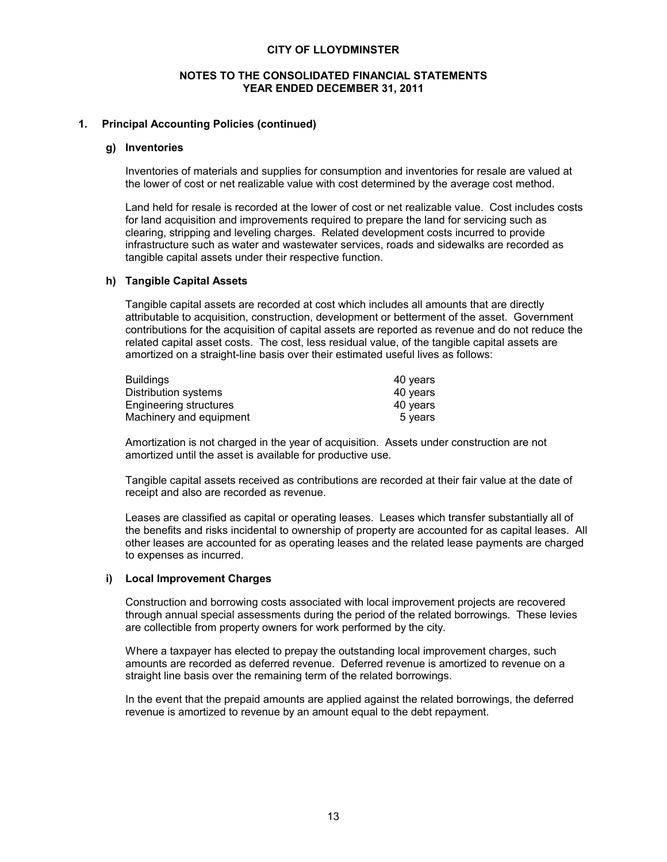# **NOTES TO THE CONSOLIDATED FINANCIAL STATEMENTS YEAR ENDED DECEMBER 31, 2011**

### **1. Principal Accounting Policies (continued)**

#### **g) Inventories**

Inventories of materials and supplies for consumption and inventories for resale are valued at the lower of cost or net realizable value with cost determined by the average cost method.

Land held for resale is recorded at the lower of cost or net realizable value. Cost includes costs for land acquisition and improvements required to prepare the land for servicing such as clearing, stripping and leveling charges. Related development costs incurred to provide infrastructure such as water and wastewater services, roads and sidewalks are recorded as tangible capital assets under their respective function.

#### **h) Tangible Capital Assets**

Tangible capital assets are recorded at cost which includes all amounts that are directly attributable to acquisition, construction, development or betterment of the asset. Government contributions for the acquisition of capital assets are reported as revenue and do not reduce the related capital asset costs. The cost, less residual value, of the tangible capital assets are amortized on a straight-line basis over their estimated useful lives as follows:

| <b>Buildings</b>              | 40 years |
|-------------------------------|----------|
| Distribution systems          | 40 years |
| <b>Engineering structures</b> | 40 years |
| Machinery and equipment       | 5 years  |

Amortization is not charged in the year of acquisition. Assets under construction are not amortized until the asset is available for productive use.

Tangible capital assets received as contributions are recorded at their fair value at the date of receipt and also are recorded as revenue.

Leases are classified as capital or operating leases. Leases which transfer substantially all of the benefits and risks incidental to ownership of property are accounted for as capital leases. All other leases are accounted for as operating leases and the related lease payments are charged to expenses as incurred.

# **i) Local Improvement Charges**

Construction and borrowing costs associated with local improvement projects are recovered through annual special assessments during the period of the related borrowings. These levies are collectible from property owners for work performed by the city.

Where a taxpayer has elected to prepay the outstanding local improvement charges, such amounts are recorded as deferred revenue. Deferred revenue is amortized to revenue on a straight line basis over the remaining term of the related borrowings.

In the event that the prepaid amounts are applied against the related borrowings, the deferred revenue is amortized to revenue by an amount equal to the debt repayment.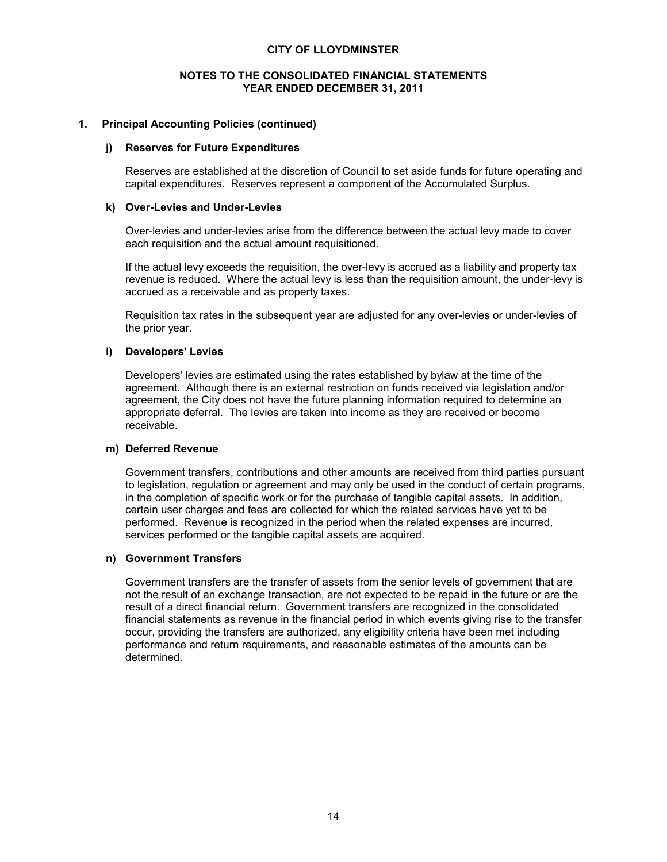## **NOTES TO THE CONSOLIDATED FINANCIAL STATEMENTS YEAR ENDED DECEMBER 31, 2011**

### **1. Principal Accounting Policies (continued)**

#### **j) Reserves for Future Expenditures**

Reserves are established at the discretion of Council to set aside funds for future operating and capital expenditures. Reserves represent a component of the Accumulated Surplus.

#### **k) Over-Levies and Under-Levies**

Over-levies and under-levies arise from the difference between the actual levy made to cover each requisition and the actual amount requisitioned.

If the actual levy exceeds the requisition, the over-levy is accrued as a liability and property tax revenue is reduced. Where the actual levy is less than the requisition amount, the under-levy is accrued as a receivable and as property taxes.

Requisition tax rates in the subsequent year are adjusted for any over-levies or under-levies of the prior year.

#### **l) Developers' Levies**

Developers' levies are estimated using the rates established by bylaw at the time of the agreement. Although there is an external restriction on funds received via legislation and/or agreement, the City does not have the future planning information required to determine an appropriate deferral. The levies are taken into income as they are received or become receivable.

# **m) Deferred Revenue**

Government transfers, contributions and other amounts are received from third parties pursuant to legislation, regulation or agreement and may only be used in the conduct of certain programs, in the completion of specific work or for the purchase of tangible capital assets. In addition, certain user charges and fees are collected for which the related services have yet to be performed. Revenue is recognized in the period when the related expenses are incurred, services performed or the tangible capital assets are acquired.

#### **n) Government Transfers**

Government transfers are the transfer of assets from the senior levels of government that are not the result of an exchange transaction, are not expected to be repaid in the future or are the result of a direct financial return. Government transfers are recognized in the consolidated financial statements as revenue in the financial period in which events giving rise to the transfer occur, providing the transfers are authorized, any eligibility criteria have been met including performance and return requirements, and reasonable estimates of the amounts can be determined.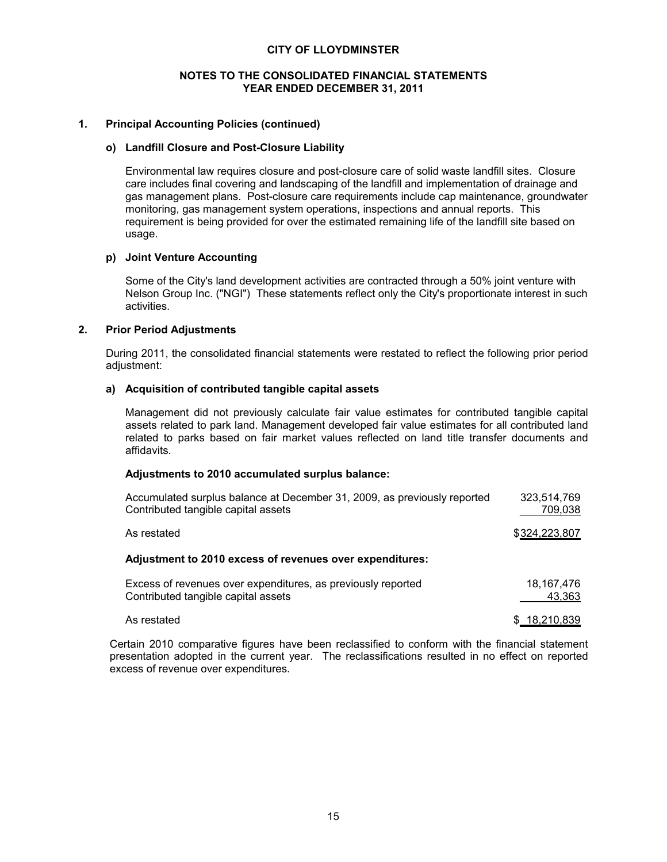## **NOTES TO THE CONSOLIDATED FINANCIAL STATEMENTS YEAR ENDED DECEMBER 31, 2011**

### **1. Principal Accounting Policies (continued)**

#### **o) Landfill Closure and Post-Closure Liability**

Environmental law requires closure and post-closure care of solid waste landfill sites. Closure care includes final covering and landscaping of the landfill and implementation of drainage and gas management plans. Post-closure care requirements include cap maintenance, groundwater monitoring, gas management system operations, inspections and annual reports. This requirement is being provided for over the estimated remaining life of the landfill site based on usage.

# **p) Joint Venture Accounting**

Some of the City's land development activities are contracted through a 50% joint venture with Nelson Group Inc. ("NGI") These statements reflect only the City's proportionate interest in such activities.

# **2. Prior Period Adjustments**

During 2011, the consolidated financial statements were restated to reflect the following prior period adjustment:

#### **a) Acquisition of contributed tangible capital assets**

Management did not previously calculate fair value estimates for contributed tangible capital assets related to park land. Management developed fair value estimates for all contributed land related to parks based on fair market values reflected on land title transfer documents and affidavits.

#### **Adjustments to 2010 accumulated surplus balance:**

| Accumulated surplus balance at December 31, 2009, as previously reported<br>Contributed tangible capital assets | 323,514,769<br>709.038 |
|-----------------------------------------------------------------------------------------------------------------|------------------------|
| As restated                                                                                                     | \$324,223,807          |
| Adjustment to 2010 excess of revenues over expenditures:                                                        |                        |
| Excess of revenues over expenditures, as previously reported<br>Contributed tangible capital assets             | 18, 167, 476<br>43.363 |
| As restated                                                                                                     | \$18,210,839           |

Certain 2010 comparative figures have been reclassified to conform with the financial statement presentation adopted in the current year. The reclassifications resulted in no effect on reported excess of revenue over expenditures.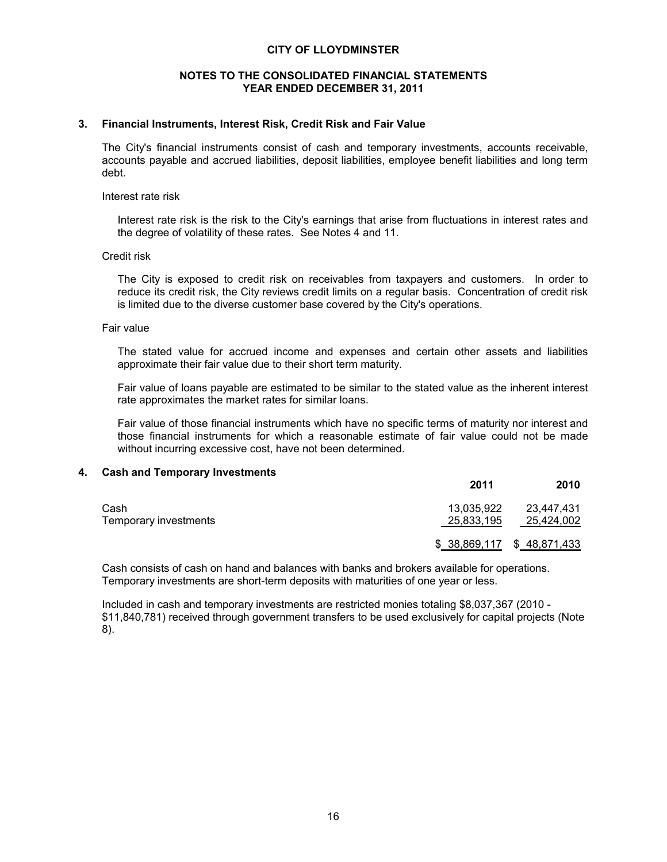### **NOTES TO THE CONSOLIDATED FINANCIAL STATEMENTS YEAR ENDED DECEMBER 31, 2011**

#### **3. Financial Instruments, Interest Risk, Credit Risk and Fair Value**

The City's financial instruments consist of cash and temporary investments, accounts receivable, accounts payable and accrued liabilities, deposit liabilities, employee benefit liabilities and long term debt.

#### Interest rate risk

Interest rate risk is the risk to the City's earnings that arise from fluctuations in interest rates and the degree of volatility of these rates. See Notes 4 and 11.

#### Credit risk

The City is exposed to credit risk on receivables from taxpayers and customers. In order to reduce its credit risk, the City reviews credit limits on a regular basis. Concentration of credit risk is limited due to the diverse customer base covered by the City's operations.

#### Fair value

The stated value for accrued income and expenses and certain other assets and liabilities approximate their fair value due to their short term maturity.

Fair value of loans payable are estimated to be similar to the stated value as the inherent interest rate approximates the market rates for similar loans.

Fair value of those financial instruments which have no specific terms of maturity nor interest and those financial instruments for which a reasonable estimate of fair value could not be made without incurring excessive cost, have not been determined.

# **4. Cash and Temporary Investments**

|                       | 2011       | 2010                        |
|-----------------------|------------|-----------------------------|
| Cash                  | 13,035,922 | 23,447,431                  |
| Temporary investments | 25,833,195 | <u>25,424,002</u>           |
|                       |            | \$ 38,869,117 \$ 48,871,433 |

Cash consists of cash on hand and balances with banks and brokers available for operations. Temporary investments are short-term deposits with maturities of one year or less.

Included in cash and temporary investments are restricted monies totaling \$8,037,367 (2010 - \$11,840,781) received through government transfers to be used exclusively for capital projects (Note 8).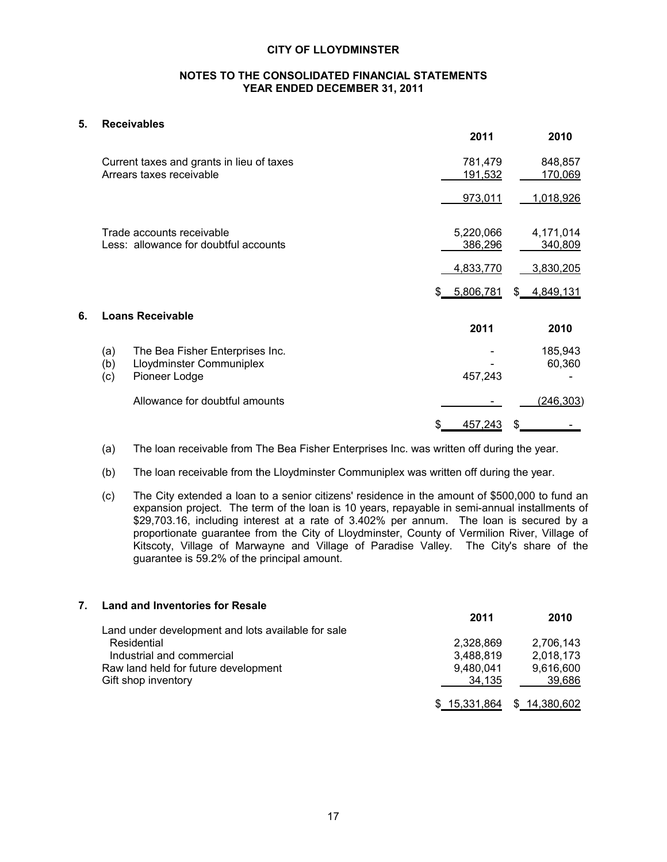# **NOTES TO THE CONSOLIDATED FINANCIAL STATEMENTS YEAR ENDED DECEMBER 31, 2011**

### **5. Receivables**

|    |                   |                                                                              | 2011                      | 2010                 |
|----|-------------------|------------------------------------------------------------------------------|---------------------------|----------------------|
|    |                   | Current taxes and grants in lieu of taxes<br>Arrears taxes receivable        | 781,479<br><u>191,532</u> | 848,857<br>170,069   |
|    |                   |                                                                              | 973,011                   | <u>1,018,926</u>     |
|    |                   | Trade accounts receivable<br>Less: allowance for doubtful accounts           | 5,220,066<br>386,296      | 4,171,014<br>340,809 |
|    |                   |                                                                              | 4,833,770                 | 3,830,205            |
|    |                   |                                                                              | \$ 5,806,781              | \$ 4,849,131         |
| 6. |                   | <b>Loans Receivable</b>                                                      | 2011                      | 2010                 |
|    | (a)<br>(b)<br>(c) | The Bea Fisher Enterprises Inc.<br>Lloydminster Communiplex<br>Pioneer Lodge | 457,243                   | 185,943<br>60,360    |
|    |                   | Allowance for doubtful amounts                                               |                           | (246, 303)           |
|    |                   |                                                                              | 457,243                   |                      |
|    |                   |                                                                              |                           |                      |

- (a) The loan receivable from The Bea Fisher Enterprises Inc. was written off during the year.
- (b) The loan receivable from the Lloydminster Communiplex was written off during the year.
- (c) The City extended a loan to a senior citizens' residence in the amount of \$500,000 to fund an expansion project. The term of the loan is 10 years, repayable in semi-annual installments of \$29,703.16, including interest at a rate of 3.402% per annum. The loan is secured by a proportionate guarantee from the City of Lloydminster, County of Vermilion River, Village of Kitscoty, Village of Marwayne and Village of Paradise Valley. The City's share of the guarantee is 59.2% of the principal amount.

| 7 <sup>1</sup> | <b>Land and Inventories for Resale</b>             |           |                             |
|----------------|----------------------------------------------------|-----------|-----------------------------|
|                |                                                    | 2011      | 2010                        |
|                | Land under development and lots available for sale |           |                             |
|                | Residential                                        | 2,328,869 | 2,706,143                   |
|                | Industrial and commercial                          | 3,488,819 | 2,018,173                   |
|                | Raw land held for future development               | 9,480,041 | 9.616.600                   |
|                | Gift shop inventory                                | 34.135    | 39,686                      |
|                |                                                    |           | $$15,331,864$ $$14,380,602$ |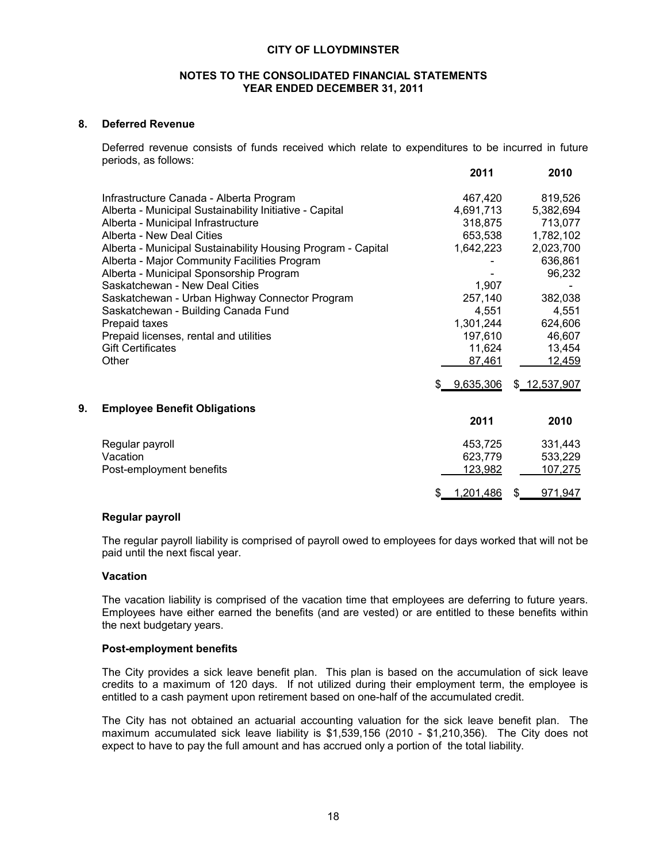#### **NOTES TO THE CONSOLIDATED FINANCIAL STATEMENTS YEAR ENDED DECEMBER 31, 2011**

#### **8. Deferred Revenue**

Deferred revenue consists of funds received which relate to expenditures to be incurred in future periods, as follows: **2011 2010**

|    |                                                              | 4V I I                | ZU IV         |
|----|--------------------------------------------------------------|-----------------------|---------------|
|    | Infrastructure Canada - Alberta Program                      | 467,420               | 819,526       |
|    | Alberta - Municipal Sustainability Initiative - Capital      | 4,691,713             | 5,382,694     |
|    | Alberta - Municipal Infrastructure                           | 318,875               | 713,077       |
|    | Alberta - New Deal Cities                                    | 653,538               | 1,782,102     |
|    | Alberta - Municipal Sustainability Housing Program - Capital | 1,642,223             | 2,023,700     |
|    | Alberta - Major Community Facilities Program                 |                       | 636,861       |
|    | Alberta - Municipal Sponsorship Program                      |                       | 96,232        |
|    | Saskatchewan - New Deal Cities                               | 1,907                 |               |
|    | Saskatchewan - Urban Highway Connector Program               | 257,140               | 382,038       |
|    | Saskatchewan - Building Canada Fund                          | 4,551                 | 4,551         |
|    | Prepaid taxes                                                | 1,301,244             | 624,606       |
|    | Prepaid licenses, rental and utilities                       | 197,610               | 46,607        |
|    | <b>Gift Certificates</b>                                     | 11,624                | 13,454        |
|    | Other                                                        | 87,461                | 12,459        |
|    |                                                              | 9,635,306<br>\$.      | \$ 12,537,907 |
| 9. | <b>Employee Benefit Obligations</b>                          |                       |               |
|    |                                                              | 2011                  | 2010          |
|    | Regular payroll                                              | 453,725               | 331,443       |
|    | Vacation                                                     | 623,779               | 533,229       |
|    | Post-employment benefits                                     | 123,982               | 107,275       |
|    |                                                              | <u>1,201,486</u><br>S | \$<br>971,947 |

#### **Regular payroll**

The regular payroll liability is comprised of payroll owed to employees for days worked that will not be paid until the next fiscal year.

#### **Vacation**

The vacation liability is comprised of the vacation time that employees are deferring to future years. Employees have either earned the benefits (and are vested) or are entitled to these benefits within the next budgetary years.

#### **Post-employment benefits**

The City provides a sick leave benefit plan. This plan is based on the accumulation of sick leave credits to a maximum of 120 days. If not utilized during their employment term, the employee is entitled to a cash payment upon retirement based on one-half of the accumulated credit.

The City has not obtained an actuarial accounting valuation for the sick leave benefit plan. The maximum accumulated sick leave liability is \$1,539,156 (2010 - \$1,210,356). The City does not expect to have to pay the full amount and has accrued only a portion of the total liability.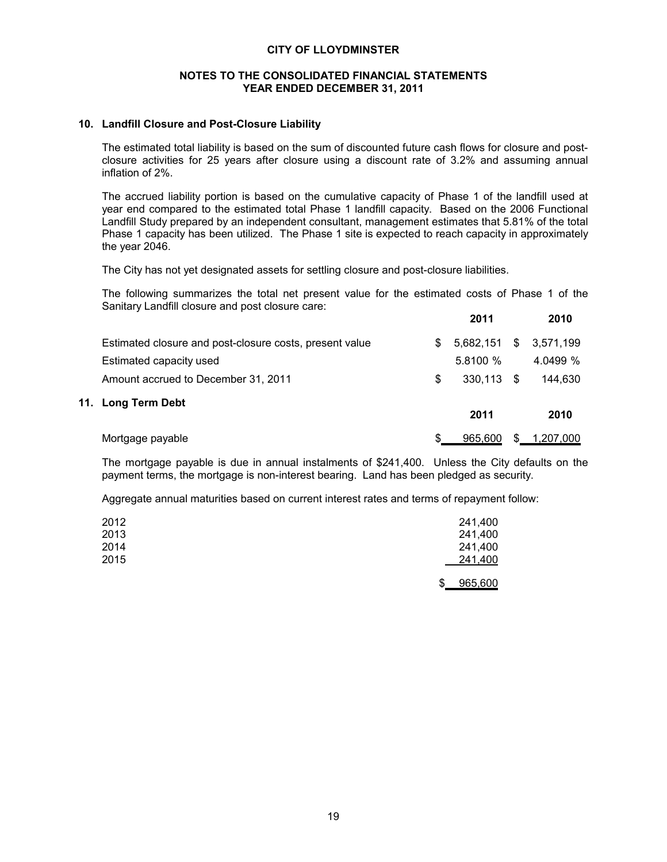## **NOTES TO THE CONSOLIDATED FINANCIAL STATEMENTS YEAR ENDED DECEMBER 31, 2011**

#### **10. Landfill Closure and Post-Closure Liability**

**11.** 

The estimated total liability is based on the sum of discounted future cash flows for closure and postclosure activities for 25 years after closure using a discount rate of 3.2% and assuming annual inflation of 2%.

The accrued liability portion is based on the cumulative capacity of Phase 1 of the landfill used at year end compared to the estimated total Phase 1 landfill capacity. Based on the 2006 Functional Landfill Study prepared by an independent consultant, management estimates that 5.81% of the total Phase 1 capacity has been utilized. The Phase 1 site is expected to reach capacity in approximately the year 2046.

The City has not yet designated assets for settling closure and post-closure liabilities.

The following summarizes the total net present value for the estimated costs of Phase 1 of the Sanitary Landfill closure and post closure care:

|                                                         | 2011             | 2010                   |
|---------------------------------------------------------|------------------|------------------------|
| Estimated closure and post-closure costs, present value | \$               | 5,682,151 \$ 3,571,199 |
| Estimated capacity used                                 | 5.8100%          | 4.0499%                |
| Amount accrued to December 31, 2011                     | \$<br>330.113 \$ | 144.630                |
| <b>Long Term Debt</b>                                   |                  |                        |
|                                                         | 2011             | 2010                   |
| Mortgage payable                                        | \$<br>965,600    | \$1,207,000            |

The mortgage payable is due in annual instalments of \$241,400. Unless the City defaults on the payment terms, the mortgage is non-interest bearing. Land has been pledged as security.

Aggregate annual maturities based on current interest rates and terms of repayment follow:

| 2012<br>2013 | 241,400<br>241,400 |
|--------------|--------------------|
| 2014         | 241,400            |
| 2015         | 241,400            |
|              | 965,600<br>S       |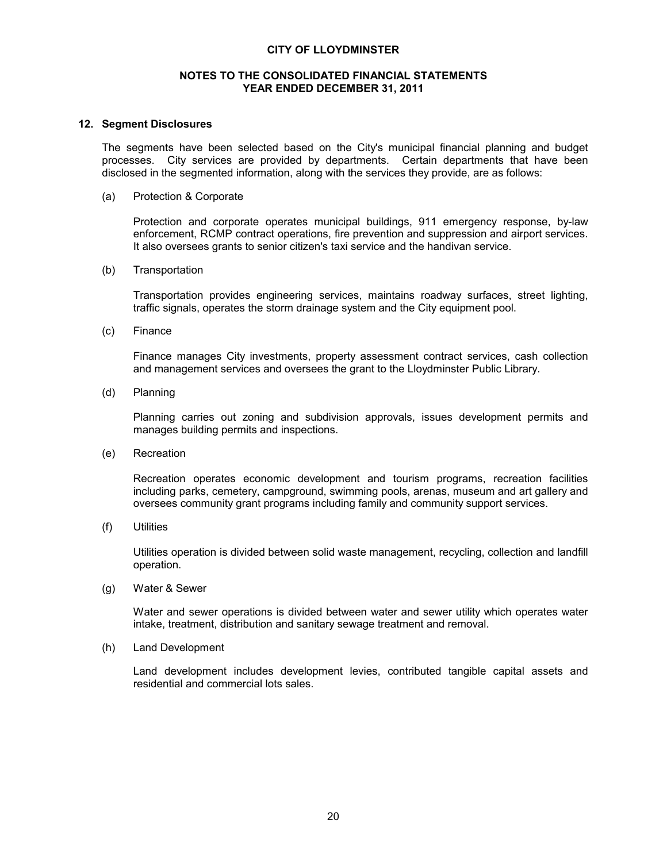### **NOTES TO THE CONSOLIDATED FINANCIAL STATEMENTS YEAR ENDED DECEMBER 31, 2011**

#### **12. Segment Disclosures**

The segments have been selected based on the City's municipal financial planning and budget processes. City services are provided by departments. Certain departments that have been disclosed in the segmented information, along with the services they provide, are as follows:

(a) Protection & Corporate

Protection and corporate operates municipal buildings, 911 emergency response, by-law enforcement, RCMP contract operations, fire prevention and suppression and airport services. It also oversees grants to senior citizen's taxi service and the handivan service.

(b) Transportation

Transportation provides engineering services, maintains roadway surfaces, street lighting, traffic signals, operates the storm drainage system and the City equipment pool.

(c) Finance

Finance manages City investments, property assessment contract services, cash collection and management services and oversees the grant to the Lloydminster Public Library.

(d) Planning

Planning carries out zoning and subdivision approvals, issues development permits and manages building permits and inspections.

(e) Recreation

Recreation operates economic development and tourism programs, recreation facilities including parks, cemetery, campground, swimming pools, arenas, museum and art gallery and oversees community grant programs including family and community support services.

(f) Utilities

Utilities operation is divided between solid waste management, recycling, collection and landfill operation.

(g) Water & Sewer

Water and sewer operations is divided between water and sewer utility which operates water intake, treatment, distribution and sanitary sewage treatment and removal.

(h) Land Development

Land development includes development levies, contributed tangible capital assets and residential and commercial lots sales.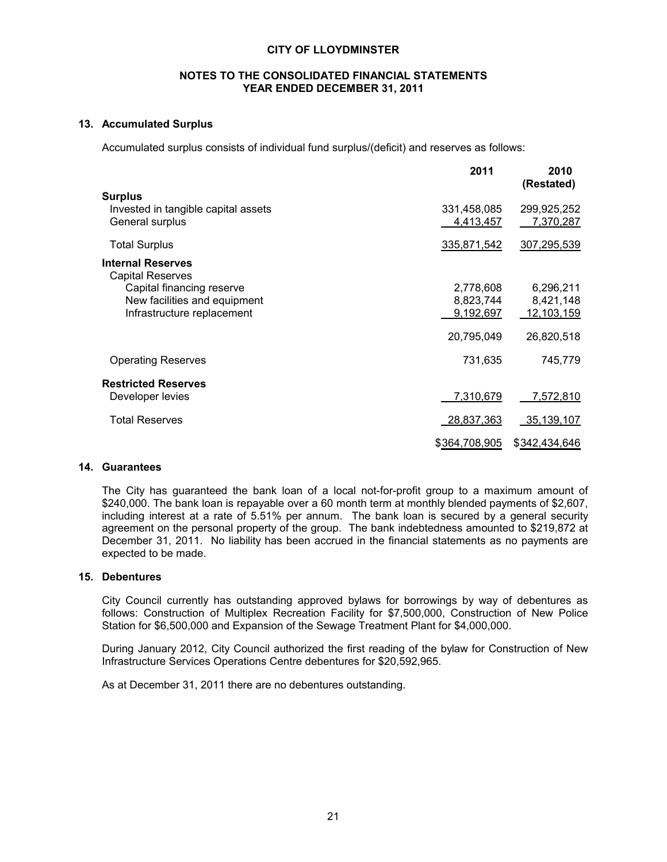### **NOTES TO THE CONSOLIDATED FINANCIAL STATEMENTS YEAR ENDED DECEMBER 31, 2011**

# **13. Accumulated Surplus**

Accumulated surplus consists of individual fund surplus/(deficit) and reserves as follows:

|                                     | 2011          | 2010<br>(Restated) |
|-------------------------------------|---------------|--------------------|
| <b>Surplus</b>                      |               |                    |
| Invested in tangible capital assets | 331,458,085   | 299,925,252        |
| General surplus                     | 4,413,457     | 7,370,287          |
| <b>Total Surplus</b>                | 335,871,542   | 307,295,539        |
| <b>Internal Reserves</b>            |               |                    |
| <b>Capital Reserves</b>             |               |                    |
| Capital financing reserve           | 2,778,608     | 6,296,211          |
| New facilities and equipment        | 8,823,744     | 8,421,148          |
| Infrastructure replacement          | 9,192,697     | <u>12,103,159</u>  |
|                                     | 20,795,049    | 26,820,518         |
| <b>Operating Reserves</b>           | 731,635       | 745,779            |
| <b>Restricted Reserves</b>          |               |                    |
| Developer levies                    | 7,310,679     | 7,572,810          |
| <b>Total Reserves</b>               | 28,837,363    | 35,139,107         |
|                                     | \$364,708,905 | \$342,434,646      |

# **14. Guarantees**

The City has guaranteed the bank loan of a local not-for-profit group to a maximum amount of \$240,000. The bank loan is repayable over a 60 month term at monthly blended payments of \$2,607, including interest at a rate of 5.51% per annum. The bank loan is secured by a general security agreement on the personal property of the group. The bank indebtedness amounted to \$219,872 at December 31, 2011. No liability has been accrued in the financial statements as no payments are expected to be made.

# **15. Debentures**

City Council currently has outstanding approved bylaws for borrowings by way of debentures as follows: Construction of Multiplex Recreation Facility for \$7,500,000, Construction of New Police Station for \$6,500,000 and Expansion of the Sewage Treatment Plant for \$4,000,000.

During January 2012, City Council authorized the first reading of the bylaw for Construction of New Infrastructure Services Operations Centre debentures for \$20,592,965.

As at December 31, 2011 there are no debentures outstanding.